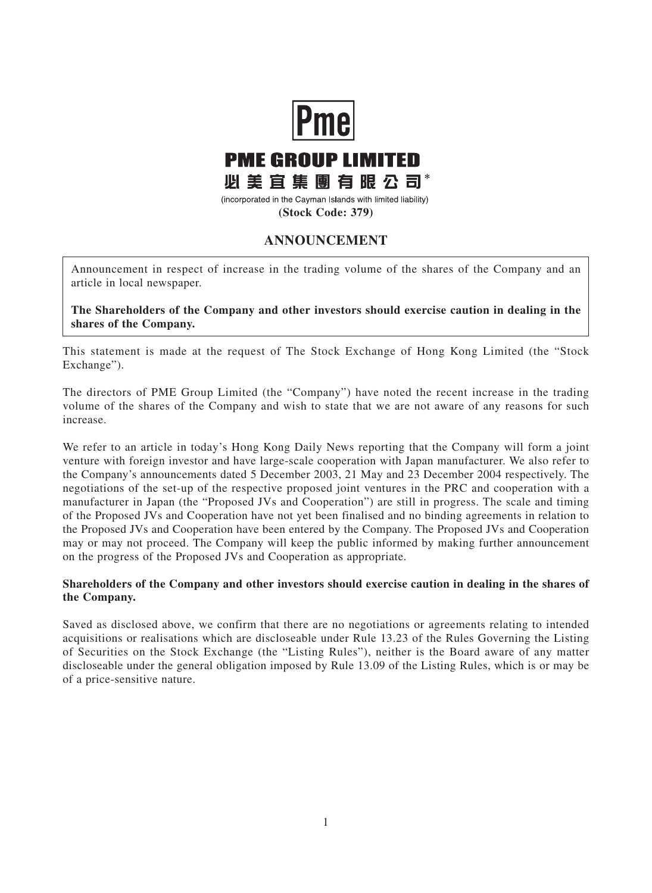

## **ANNOUNCEMENT**

Announcement in respect of increase in the trading volume of the shares of the Company and an article in local newspaper.

**The Shareholders of the Company and other investors should exercise caution in dealing in the shares of the Company.**

This statement is made at the request of The Stock Exchange of Hong Kong Limited (the "Stock Exchange").

The directors of PME Group Limited (the "Company") have noted the recent increase in the trading volume of the shares of the Company and wish to state that we are not aware of any reasons for such increase.

We refer to an article in today's Hong Kong Daily News reporting that the Company will form a joint venture with foreign investor and have large-scale cooperation with Japan manufacturer. We also refer to the Company's announcements dated 5 December 2003, 21 May and 23 December 2004 respectively. The negotiations of the set-up of the respective proposed joint ventures in the PRC and cooperation with a manufacturer in Japan (the "Proposed JVs and Cooperation") are still in progress. The scale and timing of the Proposed JVs and Cooperation have not yet been finalised and no binding agreements in relation to the Proposed JVs and Cooperation have been entered by the Company. The Proposed JVs and Cooperation may or may not proceed. The Company will keep the public informed by making further announcement on the progress of the Proposed JVs and Cooperation as appropriate.

## **Shareholders of the Company and other investors should exercise caution in dealing in the shares of the Company.**

Saved as disclosed above, we confirm that there are no negotiations or agreements relating to intended acquisitions or realisations which are discloseable under Rule 13.23 of the Rules Governing the Listing of Securities on the Stock Exchange (the "Listing Rules"), neither is the Board aware of any matter discloseable under the general obligation imposed by Rule 13.09 of the Listing Rules, which is or may be of a price-sensitive nature.